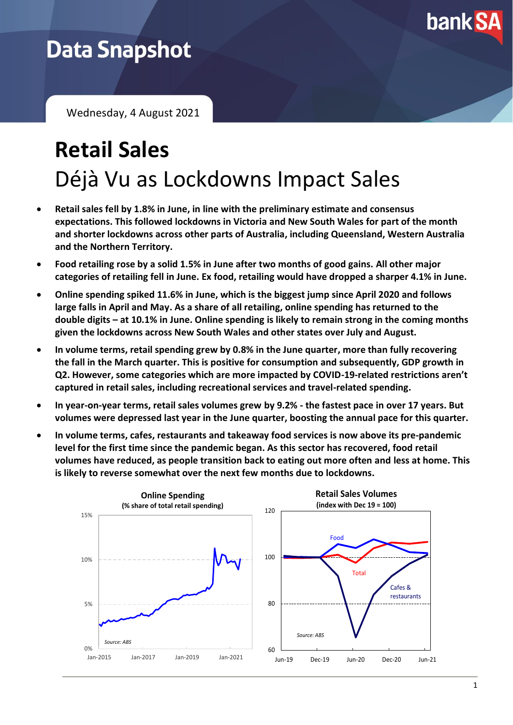

# **Data Snapshot**

Wednesday, 4 August 2021

# **Retail Sales** Déjà Vu as Lockdowns Impact Sales

- **Retail sales fell by 1.8% in June, in line with the preliminary estimate and consensus expectations. This followed lockdowns in Victoria and New South Wales for part of the month and shorter lockdowns across other parts of Australia, including Queensland, Western Australia and the Northern Territory.**
- **Food retailing rose by a solid 1.5% in June after two months of good gains. All other major categories of retailing fell in June. Ex food, retailing would have dropped a sharper 4.1% in June.**
- **Online spending spiked 11.6% in June, which is the biggest jump since April 2020 and follows large falls in April and May. As a share of all retailing, online spending has returned to the double digits – at 10.1% in June. Online spending is likely to remain strong in the coming months given the lockdowns across New South Wales and other states over July and August.**
- **In volume terms, retail spending grew by 0.8% in the June quarter, more than fully recovering the fall in the March quarter. This is positive for consumption and subsequently, GDP growth in Q2. However, some categories which are more impacted by COVID-19-related restrictions aren't captured in retail sales, including recreational services and travel-related spending.**
- **In year-on-year terms, retail sales volumes grew by 9.2% - the fastest pace in over 17 years. But volumes were depressed last year in the June quarter, boosting the annual pace for this quarter.**
- **In volume terms, cafes, restaurants and takeaway food services is now above its pre-pandemic level for the first time since the pandemic began. As this sector has recovered, food retail volumes have reduced, as people transition back to eating out more often and less at home. This is likely to reverse somewhat over the next few months due to lockdowns.**

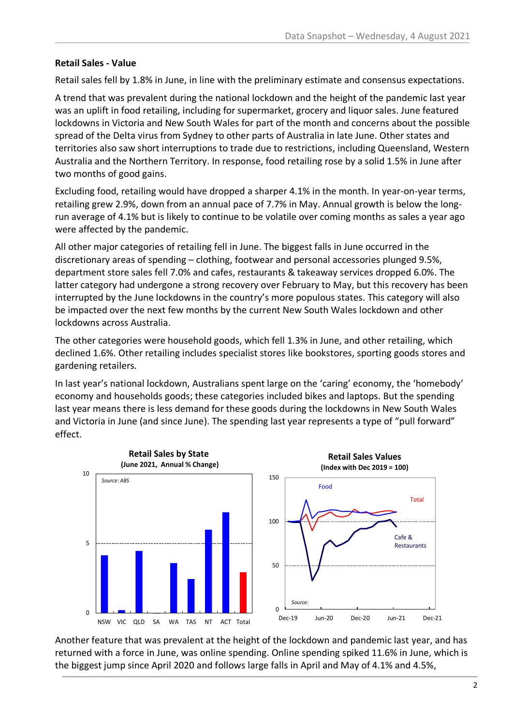### **Retail Sales - Value**

Retail sales fell by 1.8% in June, in line with the preliminary estimate and consensus expectations.

A trend that was prevalent during the national lockdown and the height of the pandemic last year was an uplift in food retailing, including for supermarket, grocery and liquor sales. June featured lockdowns in Victoria and New South Wales for part of the month and concerns about the possible spread of the Delta virus from Sydney to other parts of Australia in late June. Other states and territories also saw short interruptions to trade due to restrictions, including Queensland, Western Australia and the Northern Territory. In response, food retailing rose by a solid 1.5% in June after two months of good gains.

Excluding food, retailing would have dropped a sharper 4.1% in the month. In year-on-year terms, retailing grew 2.9%, down from an annual pace of 7.7% in May. Annual growth is below the longrun average of 4.1% but is likely to continue to be volatile over coming months as sales a year ago were affected by the pandemic.

All other major categories of retailing fell in June. The biggest falls in June occurred in the discretionary areas of spending – clothing, footwear and personal accessories plunged 9.5%, department store sales fell 7.0% and cafes, restaurants & takeaway services dropped 6.0%. The latter category had undergone a strong recovery over February to May, but this recovery has been interrupted by the June lockdowns in the country's more populous states. This category will also be impacted over the next few months by the current New South Wales lockdown and other lockdowns across Australia.

The other categories were household goods, which fell 1.3% in June, and other retailing, which declined 1.6%. Other retailing includes specialist stores like bookstores, sporting goods stores and gardening retailers.

In last year's national lockdown, Australians spent large on the 'caring' economy, the 'homebody' economy and households goods; these categories included bikes and laptops. But the spending last year means there is less demand for these goods during the lockdowns in New South Wales and Victoria in June (and since June). The spending last year represents a type of "pull forward" effect.



Another feature that was prevalent at the height of the lockdown and pandemic last year, and has returned with a force in June, was online spending. Online spending spiked 11.6% in June, which is the biggest jump since April 2020 and follows large falls in April and May of 4.1% and 4.5%,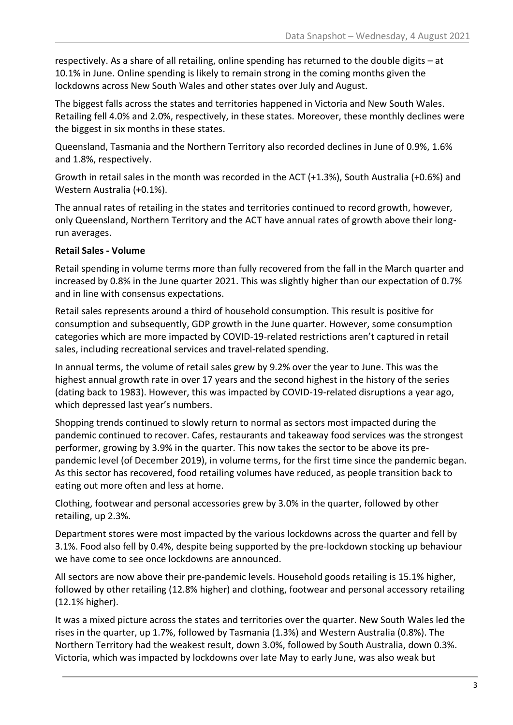respectively. As a share of all retailing, online spending has returned to the double digits – at 10.1% in June. Online spending is likely to remain strong in the coming months given the lockdowns across New South Wales and other states over July and August.

The biggest falls across the states and territories happened in Victoria and New South Wales. Retailing fell 4.0% and 2.0%, respectively, in these states. Moreover, these monthly declines were the biggest in six months in these states.

Queensland, Tasmania and the Northern Territory also recorded declines in June of 0.9%, 1.6% and 1.8%, respectively.

Growth in retail sales in the month was recorded in the ACT (+1.3%), South Australia (+0.6%) and Western Australia (+0.1%).

The annual rates of retailing in the states and territories continued to record growth, however, only Queensland, Northern Territory and the ACT have annual rates of growth above their longrun averages.

## **Retail Sales - Volume**

Retail spending in volume terms more than fully recovered from the fall in the March quarter and increased by 0.8% in the June quarter 2021. This was slightly higher than our expectation of 0.7% and in line with consensus expectations.

Retail sales represents around a third of household consumption. This result is positive for consumption and subsequently, GDP growth in the June quarter. However, some consumption categories which are more impacted by COVID-19-related restrictions aren't captured in retail sales, including recreational services and travel-related spending.

In annual terms, the volume of retail sales grew by 9.2% over the year to June. This was the highest annual growth rate in over 17 years and the second highest in the history of the series (dating back to 1983). However, this was impacted by COVID-19-related disruptions a year ago, which depressed last year's numbers.

Shopping trends continued to slowly return to normal as sectors most impacted during the pandemic continued to recover. Cafes, restaurants and takeaway food services was the strongest performer, growing by 3.9% in the quarter. This now takes the sector to be above its prepandemic level (of December 2019), in volume terms, for the first time since the pandemic began. As this sector has recovered, food retailing volumes have reduced, as people transition back to eating out more often and less at home.

Clothing, footwear and personal accessories grew by 3.0% in the quarter, followed by other retailing, up 2.3%.

Department stores were most impacted by the various lockdowns across the quarter and fell by 3.1%. Food also fell by 0.4%, despite being supported by the pre-lockdown stocking up behaviour we have come to see once lockdowns are announced.

All sectors are now above their pre-pandemic levels. Household goods retailing is 15.1% higher, followed by other retailing (12.8% higher) and clothing, footwear and personal accessory retailing (12.1% higher).

It was a mixed picture across the states and territories over the quarter. New South Wales led the rises in the quarter, up 1.7%, followed by Tasmania (1.3%) and Western Australia (0.8%). The Northern Territory had the weakest result, down 3.0%, followed by South Australia, down 0.3%. Victoria, which was impacted by lockdowns over late May to early June, was also weak but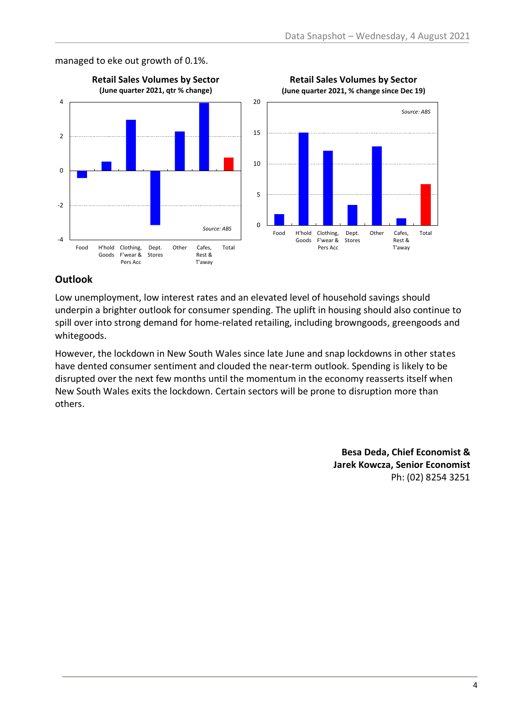

#### managed to eke out growth of 0.1%.



**Retail Sales Volumes by Sector**

### **Outlook**

Low unemployment, low interest rates and an elevated level of household savings should underpin a brighter outlook for consumer spending. The uplift in housing should also continue to spill over into strong demand for home-related retailing, including browngoods, greengoods and whitegoods.

However, the lockdown in New South Wales since late June and snap lockdowns in other states have dented consumer sentiment and clouded the near-term outlook. Spending is likely to be disrupted over the next few months until the momentum in the economy reasserts itself when New South Wales exits the lockdown. Certain sectors will be prone to disruption more than others.

> **Besa Deda, Chief Economist & Jarek Kowcza, Senior Economist** Ph: (02) 8254 3251